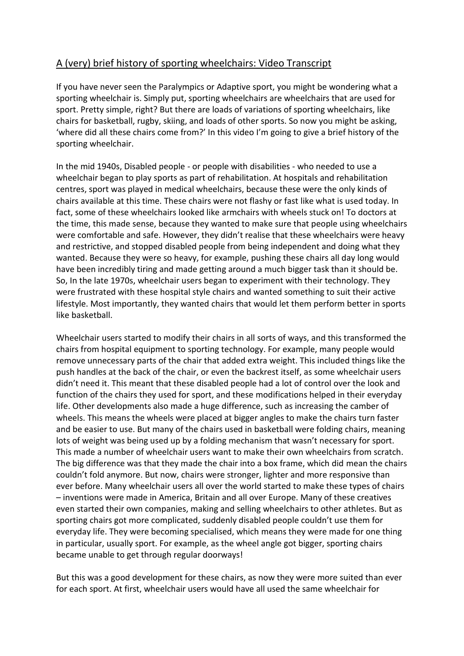## A (very) brief history of sporting wheelchairs: Video Transcript

If you have never seen the Paralympics or Adaptive sport, you might be wondering what a sporting wheelchair is. Simply put, sporting wheelchairs are wheelchairs that are used for sport. Pretty simple, right? But there are loads of variations of sporting wheelchairs, like chairs for basketball, rugby, skiing, and loads of other sports. So now you might be asking, 'where did all these chairs come from?' In this video I'm going to give a brief history of the sporting wheelchair.

In the mid 1940s, Disabled people - or people with disabilities - who needed to use a wheelchair began to play sports as part of rehabilitation. At hospitals and rehabilitation centres, sport was played in medical wheelchairs, because these were the only kinds of chairs available at this time. These chairs were not flashy or fast like what is used today. In fact, some of these wheelchairs looked like armchairs with wheels stuck on! To doctors at the time, this made sense, because they wanted to make sure that people using wheelchairs were comfortable and safe. However, they didn't realise that these wheelchairs were heavy and restrictive, and stopped disabled people from being independent and doing what they wanted. Because they were so heavy, for example, pushing these chairs all day long would have been incredibly tiring and made getting around a much bigger task than it should be. So, In the late 1970s, wheelchair users began to experiment with their technology. They were frustrated with these hospital style chairs and wanted something to suit their active lifestyle. Most importantly, they wanted chairs that would let them perform better in sports like basketball.

Wheelchair users started to modify their chairs in all sorts of ways, and this transformed the chairs from hospital equipment to sporting technology. For example, many people would remove unnecessary parts of the chair that added extra weight. This included things like the push handles at the back of the chair, or even the backrest itself, as some wheelchair users didn't need it. This meant that these disabled people had a lot of control over the look and function of the chairs they used for sport, and these modifications helped in their everyday life. Other developments also made a huge difference, such as increasing the camber of wheels. This means the wheels were placed at bigger angles to make the chairs turn faster and be easier to use. But many of the chairs used in basketball were folding chairs, meaning lots of weight was being used up by a folding mechanism that wasn't necessary for sport. This made a number of wheelchair users want to make their own wheelchairs from scratch. The big difference was that they made the chair into a box frame, which did mean the chairs couldn't fold anymore. But now, chairs were stronger, lighter and more responsive than ever before. Many wheelchair users all over the world started to make these types of chairs – inventions were made in America, Britain and all over Europe. Many of these creatives even started their own companies, making and selling wheelchairs to other athletes. But as sporting chairs got more complicated, suddenly disabled people couldn't use them for everyday life. They were becoming specialised, which means they were made for one thing in particular, usually sport. For example, as the wheel angle got bigger, sporting chairs became unable to get through regular doorways!

But this was a good development for these chairs, as now they were more suited than ever for each sport. At first, wheelchair users would have all used the same wheelchair for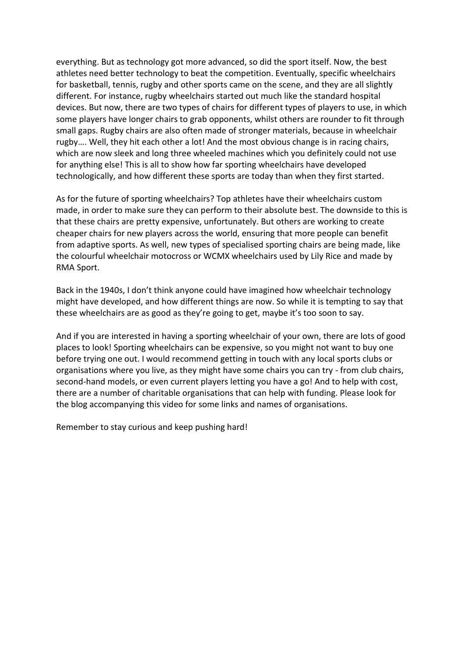everything. But as technology got more advanced, so did the sport itself. Now, the best athletes need better technology to beat the competition. Eventually, specific wheelchairs for basketball, tennis, rugby and other sports came on the scene, and they are all slightly different. For instance, rugby wheelchairs started out much like the standard hospital devices. But now, there are two types of chairs for different types of players to use, in which some players have longer chairs to grab opponents, whilst others are rounder to fit through small gaps. Rugby chairs are also often made of stronger materials, because in wheelchair rugby…. Well, they hit each other a lot! And the most obvious change is in racing chairs, which are now sleek and long three wheeled machines which you definitely could not use for anything else! This is all to show how far sporting wheelchairs have developed technologically, and how different these sports are today than when they first started.

As for the future of sporting wheelchairs? Top athletes have their wheelchairs custom made, in order to make sure they can perform to their absolute best. The downside to this is that these chairs are pretty expensive, unfortunately. But others are working to create cheaper chairs for new players across the world, ensuring that more people can benefit from adaptive sports. As well, new types of specialised sporting chairs are being made, like the colourful wheelchair motocross or WCMX wheelchairs used by Lily Rice and made by RMA Sport.

Back in the 1940s, I don't think anyone could have imagined how wheelchair technology might have developed, and how different things are now. So while it is tempting to say that these wheelchairs are as good as they're going to get, maybe it's too soon to say.

And if you are interested in having a sporting wheelchair of your own, there are lots of good places to look! Sporting wheelchairs can be expensive, so you might not want to buy one before trying one out. I would recommend getting in touch with any local sports clubs or organisations where you live, as they might have some chairs you can try - from club chairs, second-hand models, or even current players letting you have a go! And to help with cost, there are a number of charitable organisations that can help with funding. Please look for the blog accompanying this video for some links and names of organisations.

Remember to stay curious and keep pushing hard!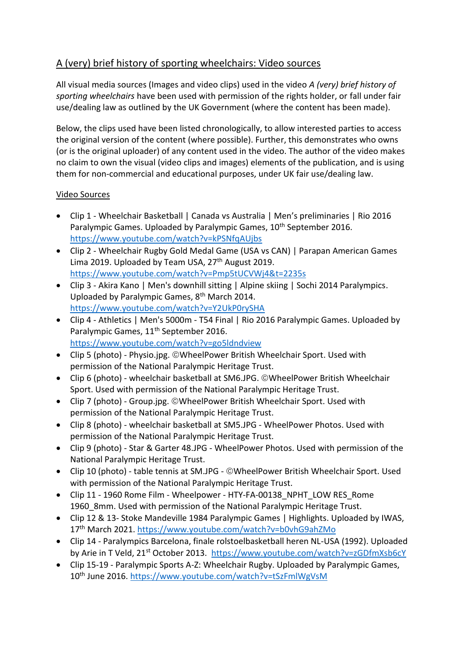## A (very) brief history of sporting wheelchairs: Video sources

All visual media sources (Images and video clips) used in the video *A (very) brief history of sporting wheelchairs* have been used with permission of the rights holder, or fall under fair use/dealing law as outlined by the UK Government (where the content has been made).

Below, the clips used have been listed chronologically, to allow interested parties to access the original version of the content (where possible). Further, this demonstrates who owns (or is the original uploader) of any content used in the video. The author of the video makes no claim to own the visual (video clips and images) elements of the publication, and is using them for non-commercial and educational purposes, under UK fair use/dealing law.

## Video Sources

- Clip 1 Wheelchair Basketball | Canada vs Australia | Men's preliminaries | Rio 2016 Paralympic Games. Uploaded by Paralympic Games, 10<sup>th</sup> September 2016. <https://www.youtube.com/watch?v=kPSNfqAUjbs>
- Clip 2 Wheelchair Rugby Gold Medal Game (USA vs CAN) | Parapan American Games Lima 2019. Uploaded by Team USA,  $27<sup>th</sup>$  August 2019. <https://www.youtube.com/watch?v=Pmp5tUCVWj4&t=2235s>
- Clip 3 Akira Kano | Men's downhill sitting | Alpine skiing | Sochi 2014 Paralympics. Uploaded by Paralympic Games, 8<sup>th</sup> March 2014. <https://www.youtube.com/watch?v=Y2UkP0rySHA>
- Clip 4 Athletics | Men's 5000m T54 Final | Rio 2016 Paralympic Games. Uploaded by Paralympic Games, 11<sup>th</sup> September 2016. <https://www.youtube.com/watch?v=go5ldndview>
- Clip 5 (photo) Physio.jpg. WheelPower British Wheelchair Sport. Used with permission of the National Paralympic Heritage Trust.
- Clip 6 (photo) wheelchair basketball at SM6.JPG. ©WheelPower British Wheelchair Sport. Used with permission of the National Paralympic Heritage Trust.
- Clip 7 (photo) Group.jpg. ©WheelPower British Wheelchair Sport. Used with permission of the National Paralympic Heritage Trust.
- Clip 8 (photo) wheelchair basketball at SM5.JPG WheelPower Photos. Used with permission of the National Paralympic Heritage Trust.
- Clip 9 (photo) Star & Garter 48.JPG WheelPower Photos. Used with permission of the National Paralympic Heritage Trust.
- Clip 10 (photo) table tennis at SM.JPG ©WheelPower British Wheelchair Sport. Used with permission of the National Paralympic Heritage Trust.
- Clip 11 1960 Rome Film Wheelpower HTY-FA-00138\_NPHT\_LOW RES\_Rome 1960\_8mm. Used with permission of the National Paralympic Heritage Trust.
- Clip 12 & 13- Stoke Mandeville 1984 Paralympic Games | Highlights. Uploaded by IWAS, 17th March 2021. <https://www.youtube.com/watch?v=b0vhG9ahZMo>
- Clip 14 Paralympics Barcelona, finale rolstoelbasketball heren NL-USA (1992). Uploaded by Arie in T Veld, 21st October 2013. <https://www.youtube.com/watch?v=zGDfmXsb6cY>
- Clip 15-19 Paralympic Sports A-Z: Wheelchair Rugby. Uploaded by Paralympic Games, 10th June 2016.<https://www.youtube.com/watch?v=tSzFmlWgVsM>